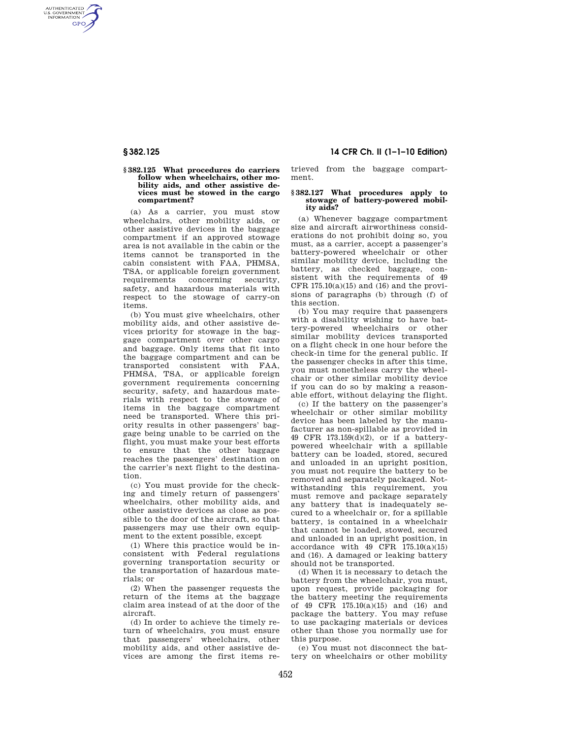AUTHENTICATED<br>U.S. GOVERNMENT<br>INFORMATION **GPO** 

## **§ 382.125 What procedures do carriers follow when wheelchairs, other mobility aids, and other assistive devices must be stowed in the cargo compartment?**

(a) As a carrier, you must stow wheelchairs, other mobility aids, or other assistive devices in the baggage compartment if an approved stowage area is not available in the cabin or the items cannot be transported in the cabin consistent with FAA, PHMSA, TSA, or applicable foreign government requirements concerning security, safety, and hazardous materials with respect to the stowage of carry-on items.

(b) You must give wheelchairs, other mobility aids, and other assistive devices priority for stowage in the baggage compartment over other cargo and baggage. Only items that fit into the baggage compartment and can be transported consistent with FAA, PHMSA, TSA, or applicable foreign government requirements concerning security, safety, and hazardous materials with respect to the stowage of items in the baggage compartment need be transported. Where this priority results in other passengers' baggage being unable to be carried on the flight, you must make your best efforts to ensure that the other baggage reaches the passengers' destination on the carrier's next flight to the destination.

(c) You must provide for the checking and timely return of passengers' wheelchairs, other mobility aids, and other assistive devices as close as possible to the door of the aircraft, so that passengers may use their own equipment to the extent possible, except

(1) Where this practice would be inconsistent with Federal regulations governing transportation security or the transportation of hazardous materials; or

(2) When the passenger requests the return of the items at the baggage claim area instead of at the door of the aircraft.

(d) In order to achieve the timely return of wheelchairs, you must ensure that passengers' wheelchairs, other mobility aids, and other assistive devices are among the first items re-

# **§ 382.125 14 CFR Ch. II (1–1–10 Edition)**

trieved from the baggage compartment.

## **§ 382.127 What procedures apply to stowage of battery-powered mobility aids?**

(a) Whenever baggage compartment size and aircraft airworthiness considerations do not prohibit doing so, you must, as a carrier, accept a passenger's battery-powered wheelchair or other similar mobility device, including the battery, as checked baggage, consistent with the requirements of 49 CFR  $175.10(a)(15)$  and  $(16)$  and the provisions of paragraphs (b) through (f) of this section.

(b) You may require that passengers with a disability wishing to have battery-powered wheelchairs or other similar mobility devices transported on a flight check in one hour before the check-in time for the general public. If the passenger checks in after this time, you must nonetheless carry the wheelchair or other similar mobility device if you can do so by making a reasonable effort, without delaying the flight.

(c) If the battery on the passenger's wheelchair or other similar mobility device has been labeled by the manufacturer as non-spillable as provided in 49 CFR 173.159(d)(2), or if a batterypowered wheelchair with a spillable battery can be loaded, stored, secured and unloaded in an upright position, you must not require the battery to be removed and separately packaged. Notwithstanding this requirement, you must remove and package separately any battery that is inadequately secured to a wheelchair or, for a spillable battery, is contained in a wheelchair that cannot be loaded, stowed, secured and unloaded in an upright position, in accordance with 49 CFR 175.10(a)(15) and (16). A damaged or leaking battery should not be transported.

(d) When it is necessary to detach the battery from the wheelchair, you must, upon request, provide packaging for the battery meeting the requirements of 49 CFR 175.10(a)(15) and (16) and package the battery. You may refuse to use packaging materials or devices other than those you normally use for this purpose.

(e) You must not disconnect the battery on wheelchairs or other mobility